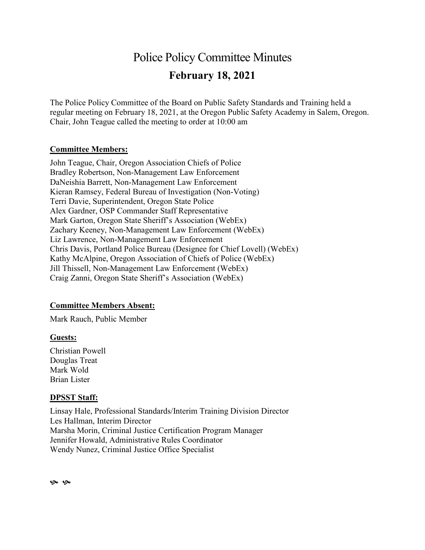## Police Policy Committee Minutes **February 18, 2021**

The Police Policy Committee of the Board on Public Safety Standards and Training held a regular meeting on February 18, 2021, at the Oregon Public Safety Academy in Salem, Oregon. Chair, John Teague called the meeting to order at 10:00 am

#### **Committee Members:**

John Teague, Chair, Oregon Association Chiefs of Police Bradley Robertson, Non-Management Law Enforcement DaNeishia Barrett, Non-Management Law Enforcement Kieran Ramsey, Federal Bureau of Investigation (Non-Voting) Terri Davie, Superintendent, Oregon State Police Alex Gardner, OSP Commander Staff Representative Mark Garton, Oregon State Sheriff's Association (WebEx) Zachary Keeney, Non-Management Law Enforcement (WebEx) Liz Lawrence, Non-Management Law Enforcement Chris Davis, Portland Police Bureau (Designee for Chief Lovell) (WebEx) Kathy McAlpine, Oregon Association of Chiefs of Police (WebEx) Jill Thissell, Non-Management Law Enforcement (WebEx) Craig Zanni, Oregon State Sheriff's Association (WebEx)

### **Committee Members Absent:**

Mark Rauch, Public Member

### **Guests:**

Christian Powell Douglas Treat Mark Wold Brian Lister

### **DPSST Staff:**

Linsay Hale, Professional Standards/Interim Training Division Director Les Hallman, Interim Director Marsha Morin, Criminal Justice Certification Program Manager Jennifer Howald, Administrative Rules Coordinator Wendy Nunez, Criminal Justice Office Specialist

 $\infty$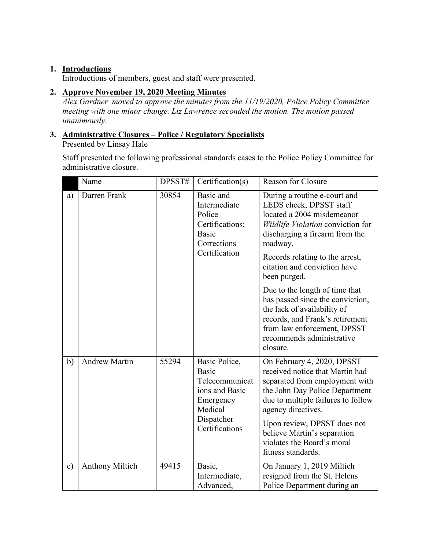### **1. Introductions**

Introductions of members, guest and staff were presented.

### **2. Approve November 19, 2020 Meeting Minutes**

*Alex Gardner moved to approve the minutes from the 11/19/2020, Police Policy Committee meeting with one minor change. Liz Lawrence seconded the motion. The motion passed unanimously*.

## **3. Administrative Closures – Police / Regulatory Specialists**

Presented by Linsay Hale

Staff presented the following professional standards cases to the Police Policy Committee for administrative closure.

|               | Name                   | DPSST# | Certification(s)                                                                                                   | <b>Reason for Closure</b>                                                                                                                                                                                                                                                                                       |
|---------------|------------------------|--------|--------------------------------------------------------------------------------------------------------------------|-----------------------------------------------------------------------------------------------------------------------------------------------------------------------------------------------------------------------------------------------------------------------------------------------------------------|
| a)            | Darren Frank           | 30854  | Basic and<br>Intermediate<br>Police<br>Certifications;<br>Basic<br>Corrections<br>Certification                    | During a routine e-court and<br>LEDS check, DPSST staff<br>located a 2004 misdemeanor<br>Wildlife Violation conviction for<br>discharging a firearm from the<br>roadway.<br>Records relating to the arrest,<br>citation and conviction have<br>been purged.                                                     |
|               |                        |        |                                                                                                                    | Due to the length of time that<br>has passed since the conviction,<br>the lack of availability of<br>records, and Frank's retirement<br>from law enforcement, DPSST<br>recommends administrative<br>closure.                                                                                                    |
| b)            | <b>Andrew Martin</b>   | 55294  | Basic Police,<br>Basic<br>Telecommunicat<br>ions and Basic<br>Emergency<br>Medical<br>Dispatcher<br>Certifications | On February 4, 2020, DPSST<br>received notice that Martin had<br>separated from employment with<br>the John Day Police Department<br>due to multiple failures to follow<br>agency directives.<br>Upon review, DPSST does not<br>believe Martin's separation<br>violates the Board's moral<br>fitness standards. |
| $\mathbf{c})$ | <b>Anthony Miltich</b> | 49415  | Basic,<br>Intermediate,<br>Advanced,                                                                               | On January 1, 2019 Miltich<br>resigned from the St. Helens<br>Police Department during an                                                                                                                                                                                                                       |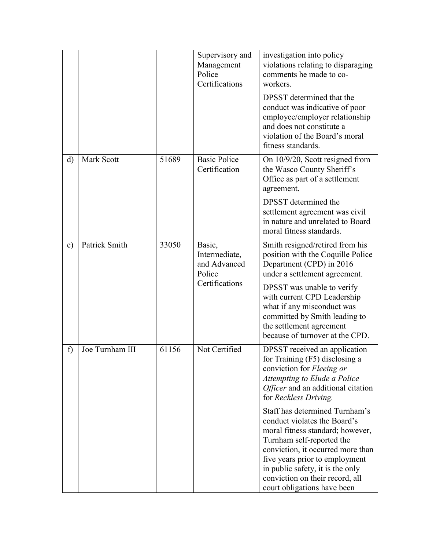|             |                                            |       | Supervisory and<br>Management<br>Police<br>Certifications | investigation into policy<br>violations relating to disparaging<br>comments he made to co-<br>workers.                                                                                                                                                                                                       |
|-------------|--------------------------------------------|-------|-----------------------------------------------------------|--------------------------------------------------------------------------------------------------------------------------------------------------------------------------------------------------------------------------------------------------------------------------------------------------------------|
|             |                                            |       |                                                           | DPSST determined that the<br>conduct was indicative of poor<br>employee/employer relationship<br>and does not constitute a<br>violation of the Board's moral<br>fitness standards.                                                                                                                           |
| d)          | Mark Scott                                 | 51689 | <b>Basic Police</b><br>Certification                      | On 10/9/20, Scott resigned from<br>the Wasco County Sheriff's<br>Office as part of a settlement<br>agreement.                                                                                                                                                                                                |
|             |                                            |       |                                                           | DPSST determined the<br>settlement agreement was civil<br>in nature and unrelated to Board<br>moral fitness standards.                                                                                                                                                                                       |
| e)          | Patrick Smith<br>33050<br>Basic,<br>Police |       | Intermediate,<br>and Advanced                             | Smith resigned/retired from his<br>position with the Coquille Police<br>Department (CPD) in 2016<br>under a settlement agreement.                                                                                                                                                                            |
|             |                                            |       | Certifications                                            | DPSST was unable to verify<br>with current CPD Leadership<br>what if any misconduct was<br>committed by Smith leading to<br>the settlement agreement<br>because of turnover at the CPD.                                                                                                                      |
| $\mathbf f$ | Joe Turnham III                            | 61156 | Not Certified                                             | DPSST received an application<br>for Training (F5) disclosing a<br>conviction for Fleeing or<br>Attempting to Elude a Police<br>Officer and an additional citation<br>for Reckless Driving.                                                                                                                  |
|             |                                            |       |                                                           | Staff has determined Turnham's<br>conduct violates the Board's<br>moral fitness standard; however,<br>Turnham self-reported the<br>conviction, it occurred more than<br>five years prior to employment<br>in public safety, it is the only<br>conviction on their record, all<br>court obligations have been |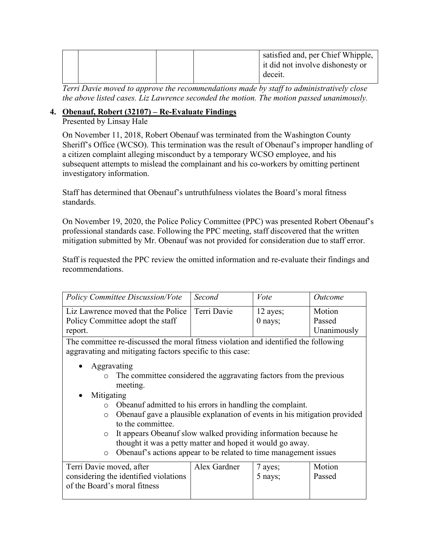*Terri Davie moved to approve the recommendations made by staff to administratively close the above listed cases. Liz Lawrence seconded the motion. The motion passed unanimously.*

### **4. Obenauf, Robert (32107) – Re-Evaluate Findings**

Presented by Linsay Hale

On November 11, 2018, Robert Obenauf was terminated from the Washington County Sheriff's Office (WCSO). This termination was the result of Obenauf's improper handling of a citizen complaint alleging misconduct by a temporary WCSO employee, and his subsequent attempts to mislead the complainant and his co-workers by omitting pertinent investigatory information.

Staff has determined that Obenauf's untruthfulness violates the Board's moral fitness standards.

On November 19, 2020, the Police Policy Committee (PPC) was presented Robert Obenauf's professional standards case. Following the PPC meeting, staff discovered that the written mitigation submitted by Mr. Obenauf was not provided for consideration due to staff error.

Staff is requested the PPC review the omitted information and re-evaluate their findings and recommendations.

| <b>Policy Committee Discussion/Vote</b>                                                                                                                                                                                                                                                                                                                                                                                                      | Second      | Vote       | <i>Outcome</i> |
|----------------------------------------------------------------------------------------------------------------------------------------------------------------------------------------------------------------------------------------------------------------------------------------------------------------------------------------------------------------------------------------------------------------------------------------------|-------------|------------|----------------|
| Liz Lawrence moved that the Police                                                                                                                                                                                                                                                                                                                                                                                                           | Terri Davie | $12$ ayes; | Motion         |
| Policy Committee adopt the staff                                                                                                                                                                                                                                                                                                                                                                                                             |             | $0$ nays;  | Passed         |
| report.                                                                                                                                                                                                                                                                                                                                                                                                                                      |             |            | Unanimously    |
| The committee re-discussed the moral fitness violation and identified the following                                                                                                                                                                                                                                                                                                                                                          |             |            |                |
| aggravating and mitigating factors specific to this case:                                                                                                                                                                                                                                                                                                                                                                                    |             |            |                |
| Aggravating<br>$\bullet$                                                                                                                                                                                                                                                                                                                                                                                                                     |             |            |                |
| The committee considered the aggravating factors from the previous                                                                                                                                                                                                                                                                                                                                                                           |             |            |                |
| meeting.                                                                                                                                                                                                                                                                                                                                                                                                                                     |             |            |                |
| Mitigating                                                                                                                                                                                                                                                                                                                                                                                                                                   |             |            |                |
| Obeanuf admitted to his errors in handling the complaint.<br>$\circ$                                                                                                                                                                                                                                                                                                                                                                         |             |            |                |
| $\circ$                                                                                                                                                                                                                                                                                                                                                                                                                                      |             |            |                |
| to the committee.                                                                                                                                                                                                                                                                                                                                                                                                                            |             |            |                |
| $\circ$                                                                                                                                                                                                                                                                                                                                                                                                                                      |             |            |                |
|                                                                                                                                                                                                                                                                                                                                                                                                                                              |             |            |                |
| $\circ$                                                                                                                                                                                                                                                                                                                                                                                                                                      |             |            |                |
|                                                                                                                                                                                                                                                                                                                                                                                                                                              |             |            |                |
|                                                                                                                                                                                                                                                                                                                                                                                                                                              |             |            |                |
|                                                                                                                                                                                                                                                                                                                                                                                                                                              |             |            |                |
| Obenauf gave a plausible explanation of events in his mitigation provided<br>It appears Obeanuf slow walked providing information because he<br>thought it was a petty matter and hoped it would go away.<br>Obenauf's actions appear to be related to time management issues<br>Motion<br>Terri Davie moved, after<br>Alex Gardner<br>7 ayes;<br>considering the identified violations<br>Passed<br>5 nays;<br>of the Board's moral fitness |             |            |                |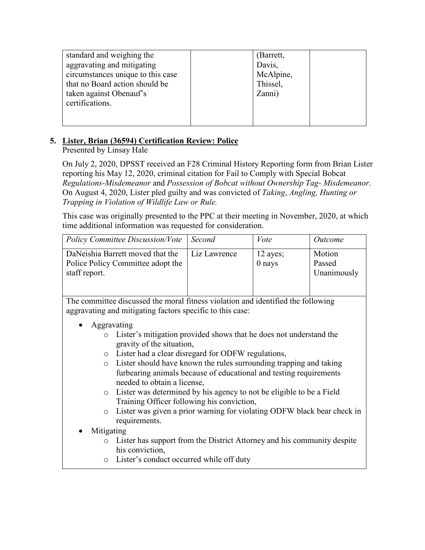| standard and weighing the         | (Barrett, |  |
|-----------------------------------|-----------|--|
|                                   |           |  |
| aggravating and mitigating        | Davis,    |  |
|                                   |           |  |
| circumstances unique to this case | McAlpine, |  |
|                                   |           |  |
| that no Board action should be    | Thissel,  |  |
| taken against Obenauf's           | Zanni)    |  |
|                                   |           |  |
| certifications.                   |           |  |
|                                   |           |  |
|                                   |           |  |
|                                   |           |  |
|                                   |           |  |

### **5. Lister, Brian (36594) Certification Review: Police**

Presented by Linsay Hale

On July 2, 2020, DPSST received an F28 Criminal History Reporting form from Brian Lister reporting his May 12, 2020, criminal citation for Fail to Comply with Special Bobcat *Regulations-Misdemeanor* and *Possession of Bobcat without Ownership Tag- Misdemeanor*. On August 4, 2020, Lister pled guilty and was convicted of *Taking*, *Angling, Hunting or Trapping in Violation of Wildlife Law or Rule.*

This case was originally presented to the PPC at their meeting in November, 2020, at which time additional information was requested for consideration.

| Policy Committee Discussion/Vote   Second                                              |              | Vote               | <i>Outcome</i>                  |
|----------------------------------------------------------------------------------------|--------------|--------------------|---------------------------------|
| DaNeishia Barrett moved that the<br>Police Policy Committee adopt the<br>staff report. | Liz Lawrence | 12 ayes;<br>0 nays | Motion<br>Passed<br>Unanimously |

The committee discussed the moral fitness violation and identified the following aggravating and mitigating factors specific to this case:

- Aggravating
	- o Lister's mitigation provided shows that he does not understand the gravity of the situation,
	- o Lister had a clear disregard for ODFW regulations,
	- o Lister should have known the rules surrounding trapping and taking furbearing animals because of educational and testing requirements needed to obtain a license,
	- o Lister was determined by his agency to not be eligible to be a Field Training Officer following his conviction,
	- o Lister was given a prior warning for violating ODFW black bear check in requirements.

### • Mitigating

- o Lister has support from the District Attorney and his community despite his conviction,
- o Lister's conduct occurred while off duty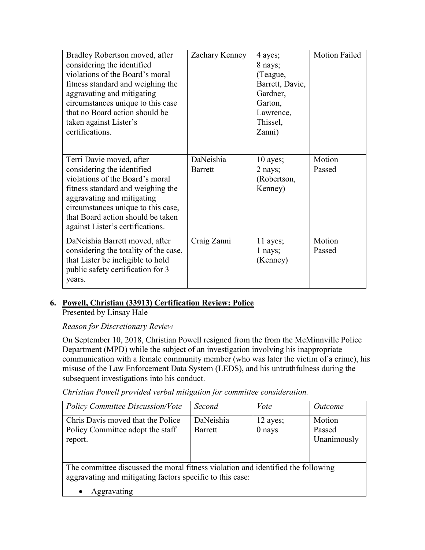| Bradley Robertson moved, after<br>considering the identified<br>violations of the Board's moral<br>fitness standard and weighing the<br>aggravating and mitigating<br>circumstances unique to this case<br>that no Board action should be<br>taken against Lister's<br>certifications. | Zachary Kenney              | 4 ayes;<br>8 nays;<br>(Teague,<br>Barrett, Davie,<br>Gardner,<br>Garton,<br>Lawrence,<br>Thissel,<br>Zanni) | <b>Motion Failed</b> |
|----------------------------------------------------------------------------------------------------------------------------------------------------------------------------------------------------------------------------------------------------------------------------------------|-----------------------------|-------------------------------------------------------------------------------------------------------------|----------------------|
| Terri Davie moved, after<br>considering the identified<br>violations of the Board's moral<br>fitness standard and weighing the<br>aggravating and mitigating<br>circumstances unique to this case,<br>that Board action should be taken<br>against Lister's certifications.            | DaNeishia<br><b>Barrett</b> | 10 ayes;<br>2 nays;<br>(Robertson,<br>Kenney)                                                               | Motion<br>Passed     |
| DaNeishia Barrett moved, after<br>considering the totality of the case,<br>that Lister be ineligible to hold<br>public safety certification for 3<br>years.                                                                                                                            | Craig Zanni                 | 11 ayes;<br>1 nays;<br>(Kenney)                                                                             | Motion<br>Passed     |

### **6. Powell, Christian (33913) Certification Review: Police**  Presented by Linsay Hale

### *Reason for Discretionary Review*

On September 10, 2018, Christian Powell resigned from the from the McMinnville Police Department (MPD) while the subject of an investigation involving his inappropriate communication with a female community member (who was later the victim of a crime), his misuse of the Law Enforcement Data System (LEDS), and his untruthfulness during the subsequent investigations into his conduct.

*Christian Powell provided verbal mitigation for committee consideration.*

| <b>Policy Committee Discussion/Vote</b>                                          | Second               | Vote                 | <i>Outcome</i>                  |
|----------------------------------------------------------------------------------|----------------------|----------------------|---------------------------------|
| Chris Davis moved that the Police<br>Policy Committee adopt the staff<br>report. | DaNeishia<br>Barrett | 12 ayes;<br>$0$ nays | Motion<br>Passed<br>Unanimously |

The committee discussed the moral fitness violation and identified the following aggravating and mitigating factors specific to this case:

• Aggravating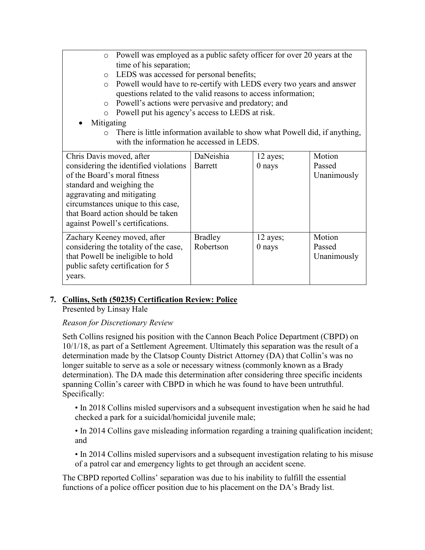- o Powell was employed as a public safety officer for over 20 years at the time of his separation;
- o LEDS was accessed for personal benefits;
- o Powell would have to re-certify with LEDS every two years and answer questions related to the valid reasons to access information;
- o Powell's actions were pervasive and predatory; and
- o Powell put his agency's access to LEDS at risk.
- **Mitigating** 
	- o There is little information available to show what Powell did, if anything, with the information he accessed in LEDS.

| Chris Davis moved, after              | DaNeishia      | 12 ayes;   | Motion      |
|---------------------------------------|----------------|------------|-------------|
| considering the identified violations | Barrett        | $0$ nays   | Passed      |
| of the Board's moral fitness          |                |            | Unanimously |
| standard and weighing the             |                |            |             |
| aggravating and mitigating            |                |            |             |
| circumstances unique to this case,    |                |            |             |
| that Board action should be taken     |                |            |             |
| against Powell's certifications.      |                |            |             |
| Zachary Keeney moved, after           | <b>Bradley</b> | $12$ ayes; | Motion      |
| considering the totality of the case, | Robertson      | $0$ nays   | Passed      |
| that Powell be ineligible to hold     |                |            | Unanimously |
| public safety certification for 5     |                |            |             |
| years.                                |                |            |             |
|                                       |                |            |             |

# **7. Collins, Seth (50235) Certification Review: Police**

Presented by Linsay Hale

### *Reason for Discretionary Review*

Seth Collins resigned his position with the Cannon Beach Police Department (CBPD) on 10/1/18, as part of a Settlement Agreement. Ultimately this separation was the result of a determination made by the Clatsop County District Attorney (DA) that Collin's was no longer suitable to serve as a sole or necessary witness (commonly known as a Brady determination). The DA made this determination after considering three specific incidents spanning Collin's career with CBPD in which he was found to have been untruthful. Specifically:

• In 2018 Collins misled supervisors and a subsequent investigation when he said he had checked a park for a suicidal/homicidal juvenile male;

• In 2014 Collins gave misleading information regarding a training qualification incident; and

• In 2014 Collins misled supervisors and a subsequent investigation relating to his misuse of a patrol car and emergency lights to get through an accident scene.

The CBPD reported Collins' separation was due to his inability to fulfill the essential functions of a police officer position due to his placement on the DA's Brady list.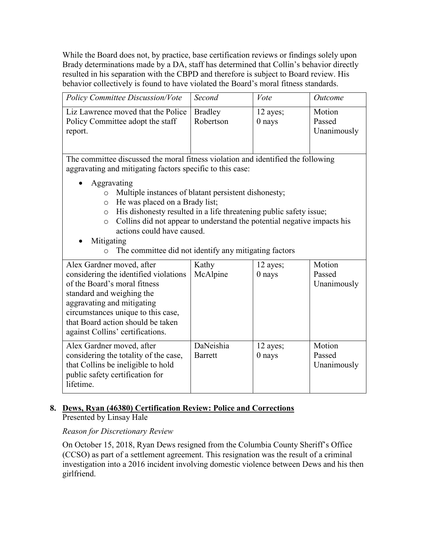While the Board does not, by practice, base certification reviews or findings solely upon Brady determinations made by a DA, staff has determined that Collin's behavior directly resulted in his separation with the CBPD and therefore is subject to Board review. His behavior collectively is found to have violated the Board's moral fitness standards.

| <b>Policy Committee Discussion/Vote</b>                                           | Second                      | Vote                 | <i>Outcome</i>                  |
|-----------------------------------------------------------------------------------|-----------------------------|----------------------|---------------------------------|
| Liz Lawrence moved that the Police<br>Policy Committee adopt the staff<br>report. | <b>Bradley</b><br>Robertson | 12 ayes;<br>$0$ nays | Motion<br>Passed<br>Unanimously |

The committee discussed the moral fitness violation and identified the following aggravating and mitigating factors specific to this case:

- Aggravating
	- o Multiple instances of blatant persistent dishonesty;
	- o He was placed on a Brady list;
	- o His dishonesty resulted in a life threatening public safety issue;
	- o Collins did not appear to understand the potential negative impacts his actions could have caused.
- Mitigating
	- o The committee did not identify any mitigating factors

| Alex Gardner moved, after             | Kathy          | 12 ayes; | Motion      |
|---------------------------------------|----------------|----------|-------------|
| considering the identified violations | McAlpine       | $0$ nays | Passed      |
| of the Board's moral fitness          |                |          | Unanimously |
| standard and weighing the             |                |          |             |
| aggravating and mitigating            |                |          |             |
| circumstances unique to this case,    |                |          |             |
| that Board action should be taken     |                |          |             |
| against Collins' certifications.      |                |          |             |
| Alex Gardner moved, after             | DaNeishia      |          | Motion      |
|                                       |                | 12 ayes; |             |
| considering the totality of the case, | <b>Barrett</b> | $0$ nays | Passed      |
| that Collins be ineligible to hold    |                |          | Unanimously |
| public safety certification for       |                |          |             |
| lifetime.                             |                |          |             |
|                                       |                |          |             |

## **8. Dews, Ryan (46380) Certification Review: Police and Corrections**

Presented by Linsay Hale

### *Reason for Discretionary Review*

On October 15, 2018, Ryan Dews resigned from the Columbia County Sheriff's Office (CCSO) as part of a settlement agreement. This resignation was the result of a criminal investigation into a 2016 incident involving domestic violence between Dews and his then girlfriend.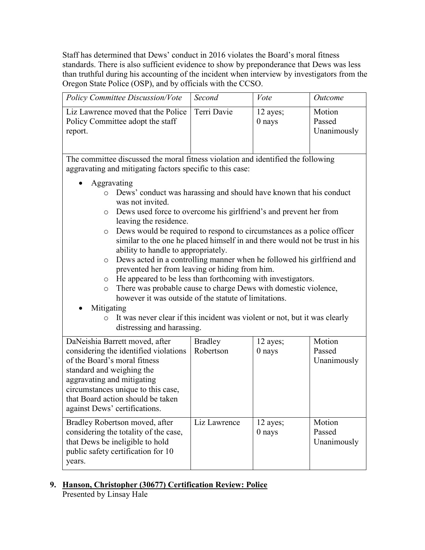Staff has determined that Dews' conduct in 2016 violates the Board's moral fitness standards. There is also sufficient evidence to show by preponderance that Dews was less than truthful during his accounting of the incident when interview by investigators from the Oregon State Police (OSP), and by officials with the CCSO.

| <b>Policy Committee Discussion/Vote</b>                                                         | Second | Vote                 | Outcome                         |
|-------------------------------------------------------------------------------------------------|--------|----------------------|---------------------------------|
| Liz Lawrence moved that the Police   Terri Davie<br>Policy Committee adopt the staff<br>report. |        | 12 ayes;<br>$0$ nays | Motion<br>Passed<br>Unanimously |

The committee discussed the moral fitness violation and identified the following aggravating and mitigating factors specific to this case:

- Aggravating
	- o Dews' conduct was harassing and should have known that his conduct was not invited.
	- o Dews used force to overcome his girlfriend's and prevent her from leaving the residence.
	- o Dews would be required to respond to circumstances as a police officer similar to the one he placed himself in and there would not be trust in his ability to handle to appropriately.
	- o Dews acted in a controlling manner when he followed his girlfriend and prevented her from leaving or hiding from him.
	- o He appeared to be less than forthcoming with investigators.
	- o There was probable cause to charge Dews with domestic violence, however it was outside of the statute of limitations.
- **Mitigating** 
	- o It was never clear if this incident was violent or not, but it was clearly distressing and harassing.

| DaNeishia Barrett moved, after        | <b>Bradley</b> | 12 ayes; | Motion      |
|---------------------------------------|----------------|----------|-------------|
| considering the identified violations | Robertson      | $0$ nays | Passed      |
| of the Board's moral fitness          |                |          | Unanimously |
| standard and weighing the             |                |          |             |
| aggravating and mitigating            |                |          |             |
| circumstances unique to this case,    |                |          |             |
| that Board action should be taken     |                |          |             |
| against Dews' certifications.         |                |          |             |
| Bradley Robertson moved, after        | Liz Lawrence   | 12 ayes; | Motion      |
| considering the totality of the case, |                | 0 nays   | Passed      |
| that Dews be ineligible to hold       |                |          | Unanimously |
| public safety certification for 10    |                |          |             |
| years.                                |                |          |             |

**9. Hanson, Christopher (30677) Certification Review: Police**  Presented by Linsay Hale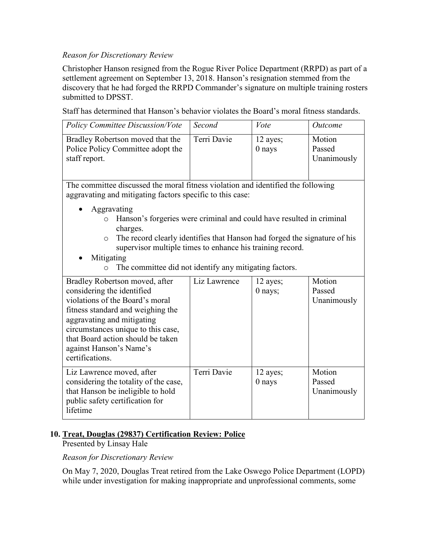### *Reason for Discretionary Review*

Christopher Hanson resigned from the Rogue River Police Department (RRPD) as part of a settlement agreement on September 13, 2018. Hanson's resignation stemmed from the discovery that he had forged the RRPD Commander's signature on multiple training rosters submitted to DPSST.

Staff has determined that Hanson's behavior violates the Board's moral fitness standards.

| <b>Policy Committee Discussion/Vote</b>                                                | Second      | Vote                 | <i>Outcome</i>                  |
|----------------------------------------------------------------------------------------|-------------|----------------------|---------------------------------|
| Bradley Robertson moved that the<br>Police Policy Committee adopt the<br>staff report. | Terri Davie | 12 ayes;<br>$0$ nays | Motion<br>Passed<br>Unanimously |

The committee discussed the moral fitness violation and identified the following aggravating and mitigating factors specific to this case:

- Aggravating
	- o Hanson's forgeries were criminal and could have resulted in criminal charges.
	- o The record clearly identifies that Hanson had forged the signature of his supervisor multiple times to enhance his training record.
- **Mitigating** 
	- o The committee did not identify any mitigating factors.

| Bradley Robertson moved, after<br>considering the identified<br>violations of the Board's moral<br>fitness standard and weighing the<br>aggravating and mitigating<br>circumstances unique to this case,<br>that Board action should be taken<br>against Hanson's Name's<br>certifications. | Liz Lawrence | 12 ayes;<br>$0$ nays; | Motion<br>Passed<br>Unanimously |
|---------------------------------------------------------------------------------------------------------------------------------------------------------------------------------------------------------------------------------------------------------------------------------------------|--------------|-----------------------|---------------------------------|
| Liz Lawrence moved, after<br>considering the totality of the case,<br>that Hanson be ineligible to hold<br>public safety certification for<br>lifetime                                                                                                                                      | Terri Davie  | 12 ayes;<br>$0$ nays  | Motion<br>Passed<br>Unanimously |

### **10. Treat, Douglas (29837) Certification Review: Police**

Presented by Linsay Hale

*Reason for Discretionary Review*

On May 7, 2020, Douglas Treat retired from the Lake Oswego Police Department (LOPD) while under investigation for making inappropriate and unprofessional comments, some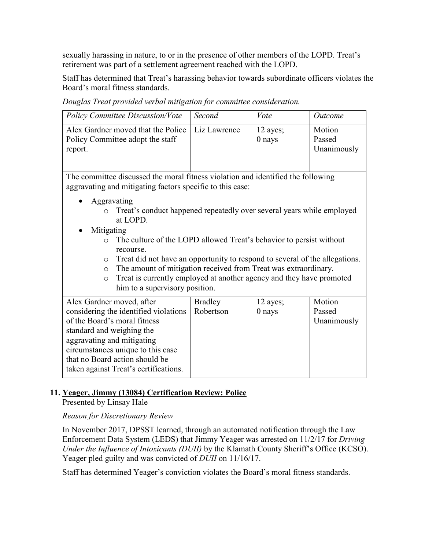sexually harassing in nature, to or in the presence of other members of the LOPD. Treat's retirement was part of a settlement agreement reached with the LOPD.

Staff has determined that Treat's harassing behavior towards subordinate officers violates the Board's moral fitness standards.

*Douglas Treat provided verbal mitigation for committee consideration.*

| <b>Policy Committee Discussion/Vote</b>                                                                                                                                                                                                                                                                | Second                      | Vote                 | Outcome                         |
|--------------------------------------------------------------------------------------------------------------------------------------------------------------------------------------------------------------------------------------------------------------------------------------------------------|-----------------------------|----------------------|---------------------------------|
| Alex Gardner moved that the Police<br>Policy Committee adopt the staff<br>report.                                                                                                                                                                                                                      | Liz Lawrence                | 12 ayes;<br>$0$ nays | Motion<br>Passed<br>Unanimously |
| The committee discussed the moral fitness violation and identified the following<br>aggravating and mitigating factors specific to this case:                                                                                                                                                          |                             |                      |                                 |
| Aggravating<br>Treat's conduct happened repeatedly over several years while employed<br>$\circ$<br>at LOPD.<br>Mitigating<br>The culture of the LOPD allowed Treat's behavior to persist without<br>$\Omega$                                                                                           |                             |                      |                                 |
| recourse.<br>Treat did not have an opportunity to respond to several of the allegations.<br>$\circ$<br>The amount of mitigation received from Treat was extraordinary.<br>$\circ$<br>Treat is currently employed at another agency and they have promoted<br>$\circ$<br>him to a supervisory position. |                             |                      |                                 |
| Alex Gardner moved, after<br>considering the identified violations<br>of the Board's moral fitness<br>standard and weighing the<br>aggravating and mitigating<br>circumstances unique to this case<br>that no Board action should be<br>taken against Treat's certifications.                          | <b>Bradley</b><br>Robertson | 12 ayes;<br>0 nays   | Motion<br>Passed<br>Unanimously |

### **11. Yeager, Jimmy (13084) Certification Review: Police**

Presented by Linsay Hale

### *Reason for Discretionary Review*

In November 2017, DPSST learned, through an automated notification through the Law Enforcement Data System (LEDS) that Jimmy Yeager was arrested on 11/2/17 for *Driving Under the Influence of Intoxicants (DUII)* by the Klamath County Sheriff's Office (KCSO). Yeager pled guilty and was convicted of *DUII* on 11/16/17.

Staff has determined Yeager's conviction violates the Board's moral fitness standards.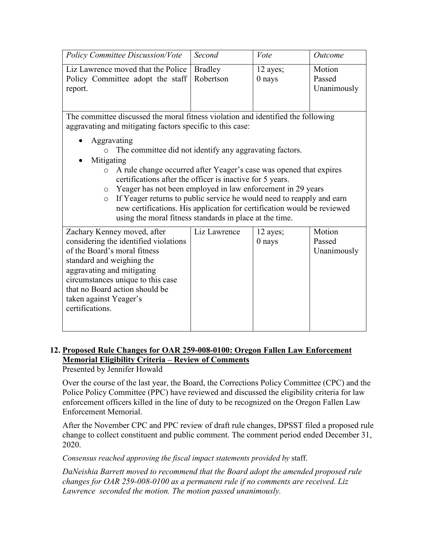| Policy Committee Discussion/Vote             | Second | Vote     | <i>Outcome</i> |
|----------------------------------------------|--------|----------|----------------|
|                                              |        |          |                |
| Liz Lawrence moved that the Police   Bradley |        | 12 ayes; | Motion         |
| Policy Committee adopt the staff   Robertson |        | $0$ nays | Passed         |
| report.                                      |        |          | Unanimously    |
|                                              |        |          |                |
|                                              |        |          |                |

The committee discussed the moral fitness violation and identified the following aggravating and mitigating factors specific to this case:

- Aggravating
	- o The committee did not identify any aggravating factors.
- Mitigating
	- o A rule change occurred after Yeager's case was opened that expires certifications after the officer is inactive for 5 years.
	- o Yeager has not been employed in law enforcement in 29 years
	- o If Yeager returns to public service he would need to reapply and earn new certifications. His application for certification would be reviewed using the moral fitness standards in place at the time.

| Zachary Kenney moved, after           | Liz Lawrence | 12 ayes; | Motion      |
|---------------------------------------|--------------|----------|-------------|
| considering the identified violations |              | $0$ nays | Passed      |
| of the Board's moral fitness          |              |          | Unanimously |
| standard and weighing the             |              |          |             |
| aggravating and mitigating            |              |          |             |
| circumstances unique to this case     |              |          |             |
| that no Board action should be        |              |          |             |
| taken against Yeager's                |              |          |             |
| certifications.                       |              |          |             |
|                                       |              |          |             |
|                                       |              |          |             |

### **12. Proposed Rule Changes for OAR 259-008-0100: Oregon Fallen Law Enforcement Memorial Eligibility Criteria – Review of Comments**

Presented by Jennifer Howald

Over the course of the last year, the Board, the Corrections Policy Committee (CPC) and the Police Policy Committee (PPC) have reviewed and discussed the eligibility criteria for law enforcement officers killed in the line of duty to be recognized on the Oregon Fallen Law Enforcement Memorial.

After the November CPC and PPC review of draft rule changes, DPSST filed a proposed rule change to collect constituent and public comment. The comment period ended December 31, 2020.

*Consensus reached approving the fiscal impact statements provided by* staff.

*DaNeishia Barrett moved to recommend that the Board adopt the amended proposed rule changes for OAR 259-008-0100 as a permanent rule if no comments are received. Liz Lawrence seconded the motion. The motion passed unanimously.*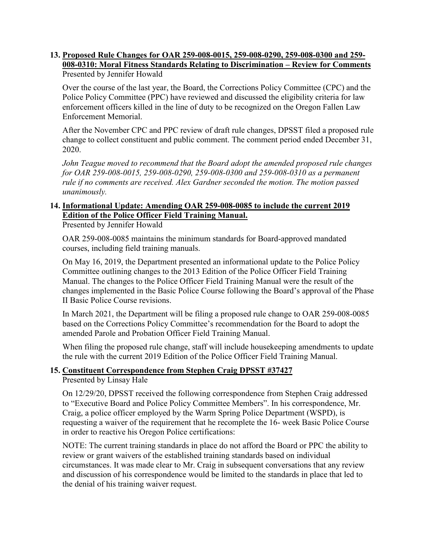### **13. Proposed Rule Changes for OAR 259-008-0015, 259-008-0290, 259-008-0300 and 259- 008-0310: Moral Fitness Standards Relating to Discrimination – Review for Comments**  Presented by Jennifer Howald

Over the course of the last year, the Board, the Corrections Policy Committee (CPC) and the Police Policy Committee (PPC) have reviewed and discussed the eligibility criteria for law enforcement officers killed in the line of duty to be recognized on the Oregon Fallen Law Enforcement Memorial.

After the November CPC and PPC review of draft rule changes, DPSST filed a proposed rule change to collect constituent and public comment. The comment period ended December 31, 2020.

*John Teague moved to recommend that the Board adopt the amended proposed rule changes for OAR 259-008-0015, 259-008-0290, 259-008-0300 and 259-008-0310 as a permanent rule if no comments are received. Alex Gardner seconded the motion. The motion passed unanimously.*

## **14. Informational Update: Amending OAR 259-008-0085 to include the current 2019 Edition of the Police Officer Field Training Manual.**

Presented by Jennifer Howald

OAR 259-008-0085 maintains the minimum standards for Board-approved mandated courses, including field training manuals.

On May 16, 2019, the Department presented an informational update to the Police Policy Committee outlining changes to the 2013 Edition of the Police Officer Field Training Manual. The changes to the Police Officer Field Training Manual were the result of the changes implemented in the Basic Police Course following the Board's approval of the Phase II Basic Police Course revisions.

In March 2021, the Department will be filing a proposed rule change to OAR 259-008-0085 based on the Corrections Policy Committee's recommendation for the Board to adopt the amended Parole and Probation Officer Field Training Manual.

When filing the proposed rule change, staff will include housekeeping amendments to update the rule with the current 2019 Edition of the Police Officer Field Training Manual.

### **15. Constituent Correspondence from Stephen Craig DPSST #37427**

Presented by Linsay Hale

On 12/29/20, DPSST received the following correspondence from Stephen Craig addressed to "Executive Board and Police Policy Committee Members". In his correspondence, Mr. Craig, a police officer employed by the Warm Spring Police Department (WSPD), is requesting a waiver of the requirement that he recomplete the 16- week Basic Police Course in order to reactive his Oregon Police certifications:

NOTE: The current training standards in place do not afford the Board or PPC the ability to review or grant waivers of the established training standards based on individual circumstances. It was made clear to Mr. Craig in subsequent conversations that any review and discussion of his correspondence would be limited to the standards in place that led to the denial of his training waiver request.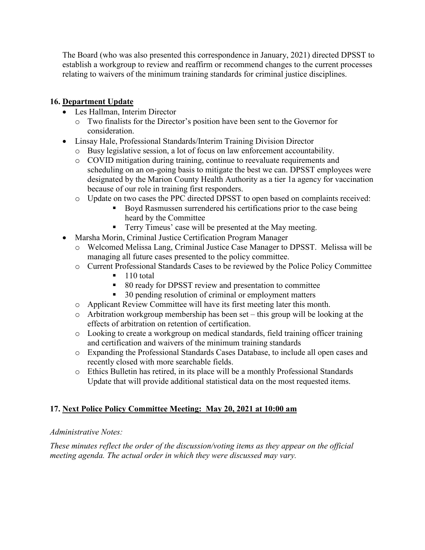The Board (who was also presented this correspondence in January, 2021) directed DPSST to establish a workgroup to review and reaffirm or recommend changes to the current processes relating to waivers of the minimum training standards for criminal justice disciplines.

### **16. Department Update**

- Les Hallman, Interim Director
	- o Two finalists for the Director's position have been sent to the Governor for consideration.
- Linsay Hale, Professional Standards/Interim Training Division Director
	- o Busy legislative session, a lot of focus on law enforcement accountability.
	- o COVID mitigation during training, continue to reevaluate requirements and scheduling on an on-going basis to mitigate the best we can. DPSST employees were designated by the Marion County Health Authority as a tier 1a agency for vaccination because of our role in training first responders.
	- o Update on two cases the PPC directed DPSST to open based on complaints received:
		- Boyd Rasmussen surrendered his certifications prior to the case being heard by the Committee
		- Terry Timeus' case will be presented at the May meeting.
- Marsha Morin, Criminal Justice Certification Program Manager
	- o Welcomed Melissa Lang, Criminal Justice Case Manager to DPSST. Melissa will be managing all future cases presented to the policy committee.
	- o Current Professional Standards Cases to be reviewed by the Police Policy Committee
		- 110 total
		- 80 ready for DPSST review and presentation to committee
		- 30 pending resolution of criminal or employment matters
	- o Applicant Review Committee will have its first meeting later this month.
	- o Arbitration workgroup membership has been set this group will be looking at the effects of arbitration on retention of certification.
	- o Looking to create a workgroup on medical standards, field training officer training and certification and waivers of the minimum training standards
	- o Expanding the Professional Standards Cases Database, to include all open cases and recently closed with more searchable fields.
	- o Ethics Bulletin has retired, in its place will be a monthly Professional Standards Update that will provide additional statistical data on the most requested items.

### **17. Next Police Policy Committee Meeting: May 20, 2021 at 10:00 am**

### *Administrative Notes:*

*These minutes reflect the order of the discussion/voting items as they appear on the official meeting agenda. The actual order in which they were discussed may vary.*